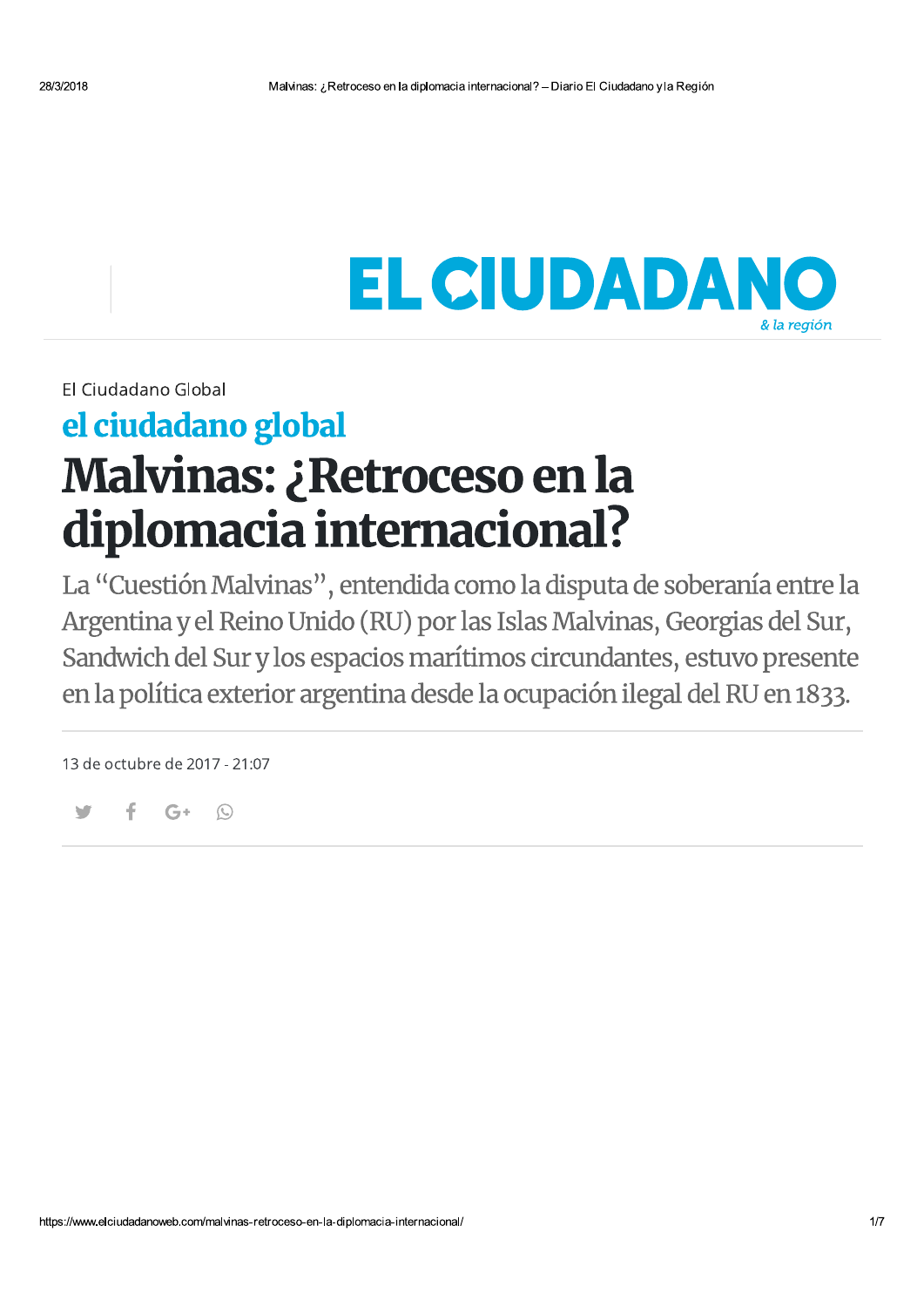Malvinas: ¿Retroceso en la diplomacia internacional? – Diario El Ciudadano y la Región



 $1/7$ 

El Ciudadano Global

## el ciudadano global Malvinas: ¿Retroceso en la diplomacia internacional?

La "Cuestión Malvinas", entendida como la disputa de soberanía entre la Argentina y el Reino Unido (RU) por las Islas Malvinas, Georgias del Sur, Sandwich del Sur y los espacios marítimos circundantes, estuvo presente en la política exterior argentina desde la ocupación ilegal del RU en 1833.

13 de octubre de 2017 - 21:07

V  $G+$   $\odot$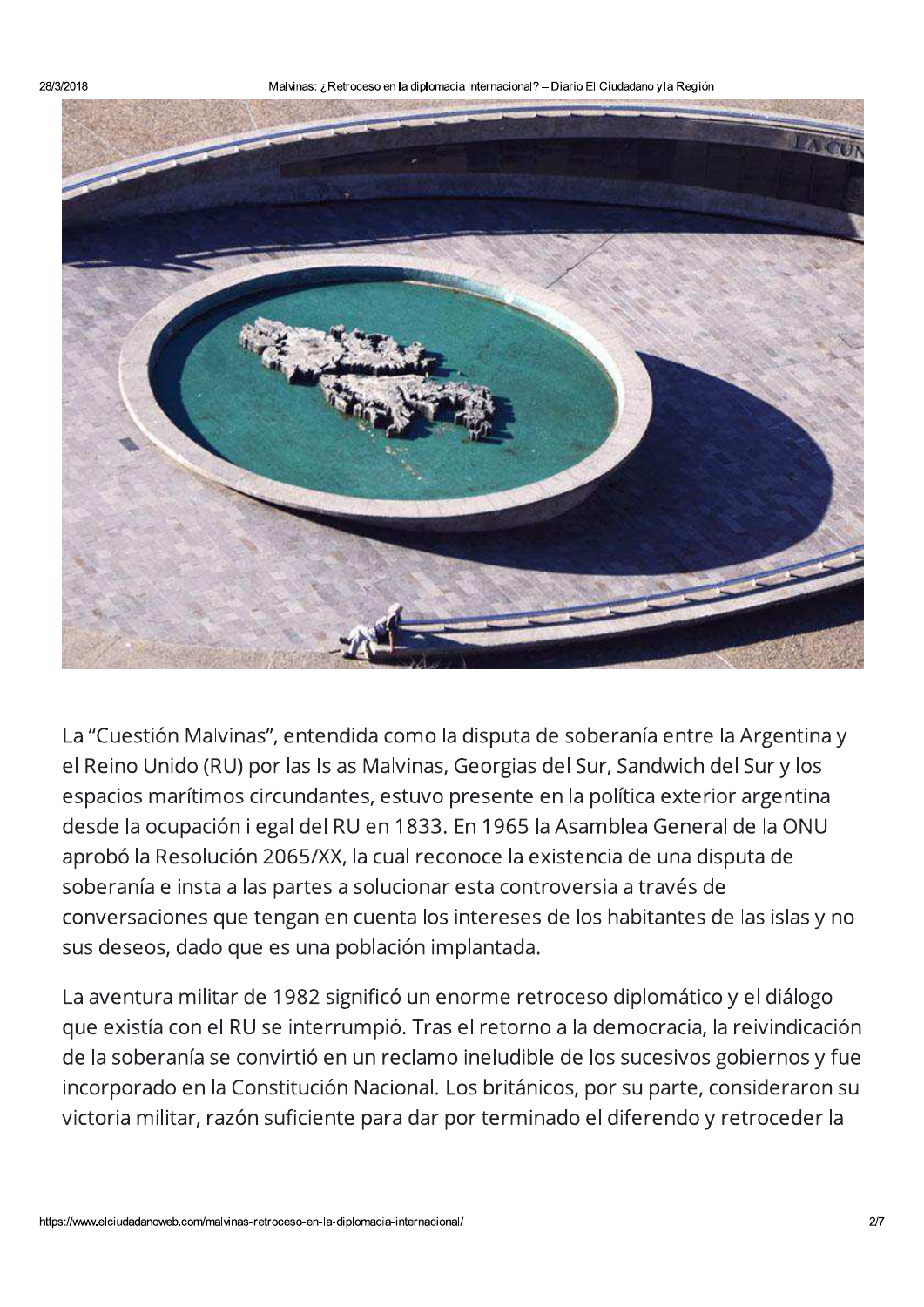28/3/2018

Malvinas: ¿Retroceso en la diplomacia internacional? – Diario El Ciudadano y la Región



La "Cuestión Malvinas", entendida como la disputa de soberanía entre la Argentina y el Reino Unido (RU) por las Islas Malvinas, Georgias del Sur, Sandwich del Sur y los espacios marítimos circundantes, estuvo presente en la política exterior argentina desde la ocupación ilegal del RU en 1833. En 1965 la Asamblea General de la ONU aprobó la Resolución 2065/XX, la cual reconoce la existencia de una disputa de soberanía e insta a las partes a solucionar esta controversia a través de conversaciones que tengan en cuenta los intereses de los habitantes de las islas y no sus deseos, dado que es una población implantada.

La aventura militar de 1982 significó un enorme retroceso diplomático y el diálogo que existía con el RU se interrumpió. Tras el retorno a la democracia, la reivindicación de la soberanía se convirtió en un reclamo ineludible de los sucesivos gobiernos y fue incorporado en la Constitución Nacional. Los británicos, por su parte, consideraron su victoria militar, razón suficiente para dar por terminado el diferendo y retroceder la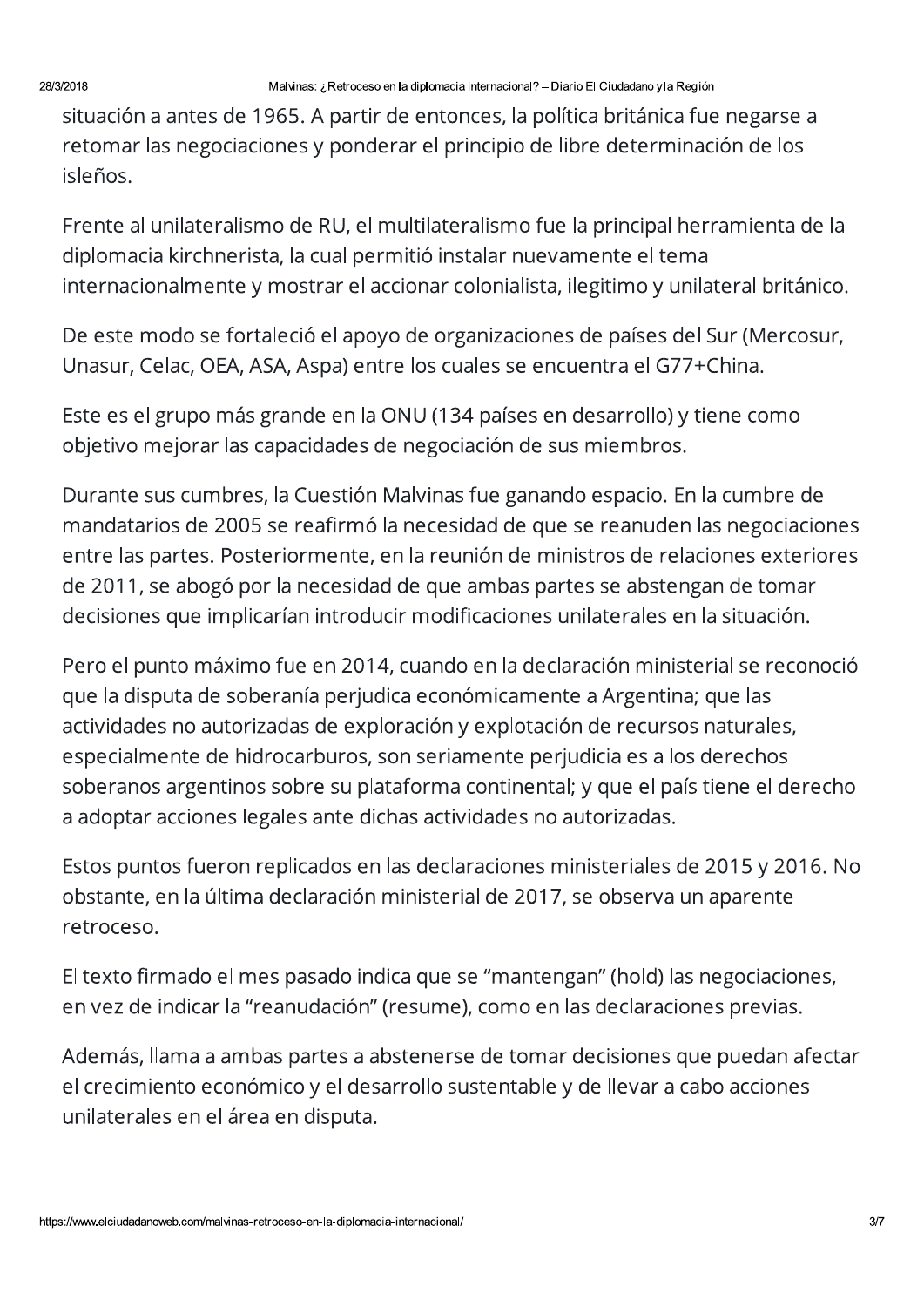situación a antes de 1965. A partir de entonces, la política británica fue negarse a retomar las negociaciones y ponderar el principio de libre determinación de los isleños.

Frente al unilateralismo de RU, el multilateralismo fue la principal herramienta de la diplomacia kirchnerista, la cual permitió instalar nuevamente el tema internacionalmente y mostrar el accionar colonialista, ilegitimo y unilateral británico.

De este modo se fortaleció el apoyo de organizaciones de países del Sur (Mercosur, Unasur, Celac, OEA, ASA, Aspa) entre los cuales se encuentra el G77+China.

Este es el grupo más grande en la ONU (134 países en desarrollo) y tiene como objetivo mejorar las capacidades de negociación de sus miembros.

Durante sus cumbres, la Cuestión Malvinas fue ganando espacio. En la cumbre de mandatarios de 2005 se reafirmó la necesidad de que se reanuden las negociaciones entre las partes. Posteriormente, en la reunión de ministros de relaciones exteriores de 2011, se abogó por la necesidad de que ambas partes se abstengan de tomar decisiones que implicarían introducir modificaciones unilaterales en la situación.

Pero el punto máximo fue en 2014, cuando en la declaración ministerial se reconoció que la disputa de soberanía perjudica económicamente a Argentina; que las actividades no autorizadas de exploración y explotación de recursos naturales, especialmente de hidrocarburos, son seriamente perjudiciales a los derechos soberanos argentinos sobre su plataforma continental; y que el país tiene el derecho a adoptar acciones legales ante dichas actividades no autorizadas.

Estos puntos fueron replicados en las declaraciones ministeriales de 2015 y 2016. No obstante, en la última declaración ministerial de 2017, se observa un aparente retroceso.

El texto firmado el mes pasado indica que se "mantengan" (hold) las negociaciones,

en vez de indicar la "reanudación" (resume), como en las declaraciones previas.

Además, llama a ambas partes a abstenerse de tomar decisiones que puedan afectar el crecimiento económico y el desarrollo sustentable y de llevar a cabo acciones unilaterales en el área en disputa.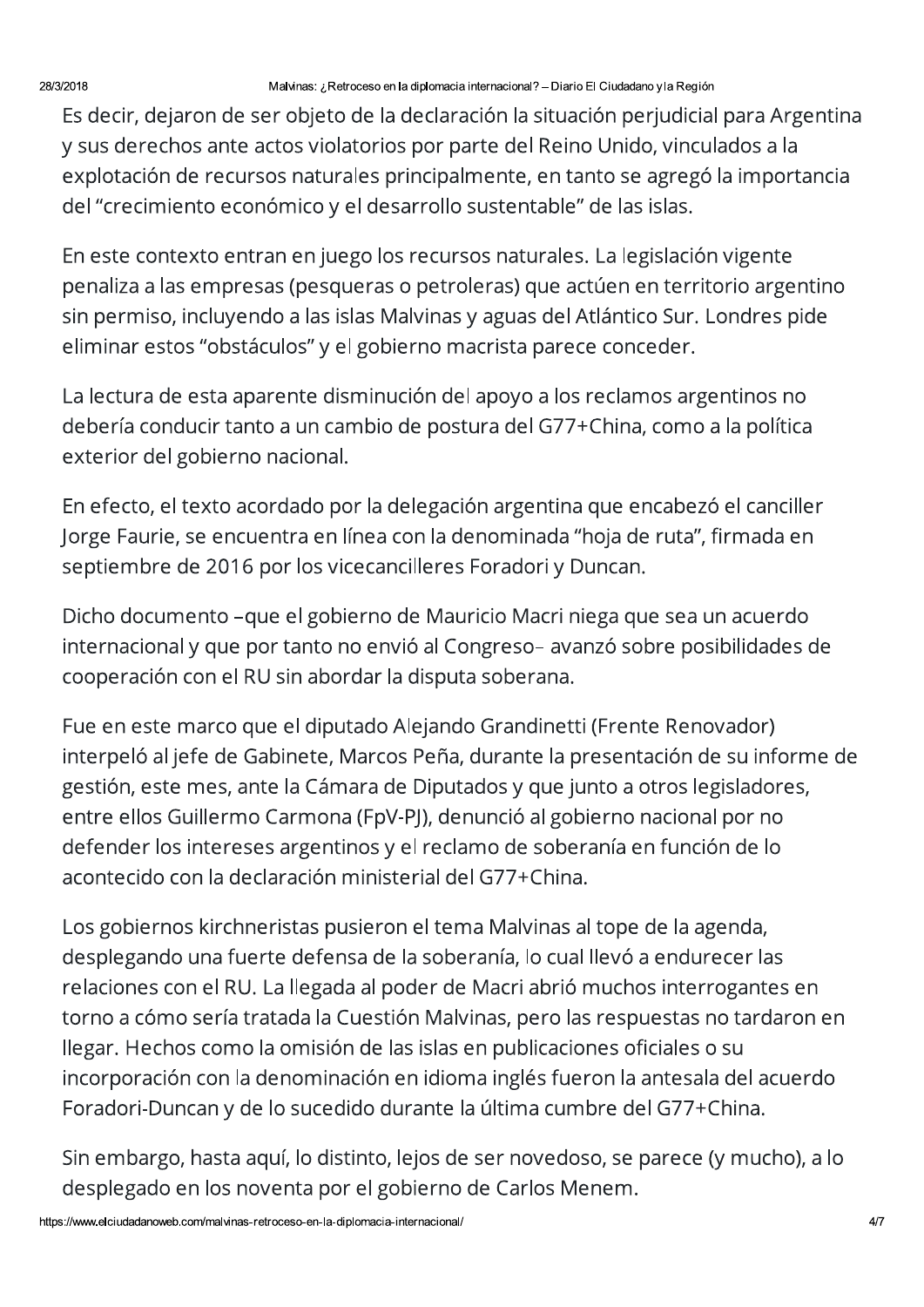Es decir, dejaron de ser objeto de la declaración la situación perjudicial para Argentina y sus derechos ante actos violatorios por parte del Reino Unido, vinculados a la explotación de recursos naturales principalmente, en tanto se agregó la importancia del "crecimiento económico y el desarrollo sustentable" de las islas.

En este contexto entran en juego los recursos naturales. La legislación vigente penaliza a las empresas (pesqueras o petroleras) que actúen en territorio argentino sin permiso, incluyendo a las islas Malvinas y aguas del Atlántico Sur. Londres pide eliminar estos "obstáculos" y el gobierno macrista parece conceder.

La lectura de esta aparente disminución del apoyo a los reclamos argentinos no debería conducir tanto a un cambio de postura del G77+China, como a la política exterior del gobierno nacional.

En efecto, el texto acordado por la delegación argentina que encabezó el canciller Jorge Faurie, se encuentra en línea con la denominada "hoja de ruta", firmada en septiembre de 2016 por los vicecancilleres Foradori y Duncan.

Dicho documento -que el gobierno de Mauricio Macri niega que sea un acuerdo internacional y que por tanto no envió al Congreso- avanzó sobre posibilidades de cooperación con el RU sin abordar la disputa soberana.

Fue en este marco que el diputado Alejando Grandinetti (Frente Renovador) interpeló al jefe de Gabinete, Marcos Peña, durante la presentación de su informe de gestión, este mes, ante la Cámara de Diputados y que junto a otros legisladores, entre ellos Guillermo Carmona (FpV-PJ), denunció al gobierno nacional por no defender los intereses argentinos y el reclamo de soberanía en función de lo acontecido con la declaración ministerial del G77+China.

Los gobiernos kirchneristas pusieron el tema Malvinas al tope de la agenda, desplegando una fuerte defensa de la soberanía, lo cual llevó a endurecer las relaciones con el RU. La llegada al poder de Macri abrió muchos interrogantes en torno a cómo sería tratada la Cuestión Malvinas, pero las respuestas no tardaron en llegar. Hechos como la omisión de las islas en publicaciones oficiales o su incorporación con la denominación en idioma inglés fueron la antesala del acuerdo Foradori-Duncan y de lo sucedido durante la última cumbre del G77+China.

Sin embargo, hasta aquí, lo distinto, lejos de ser novedoso, se parece (y mucho), a lo desplegado en los noventa por el gobierno de Carlos Menem.

 $4/7$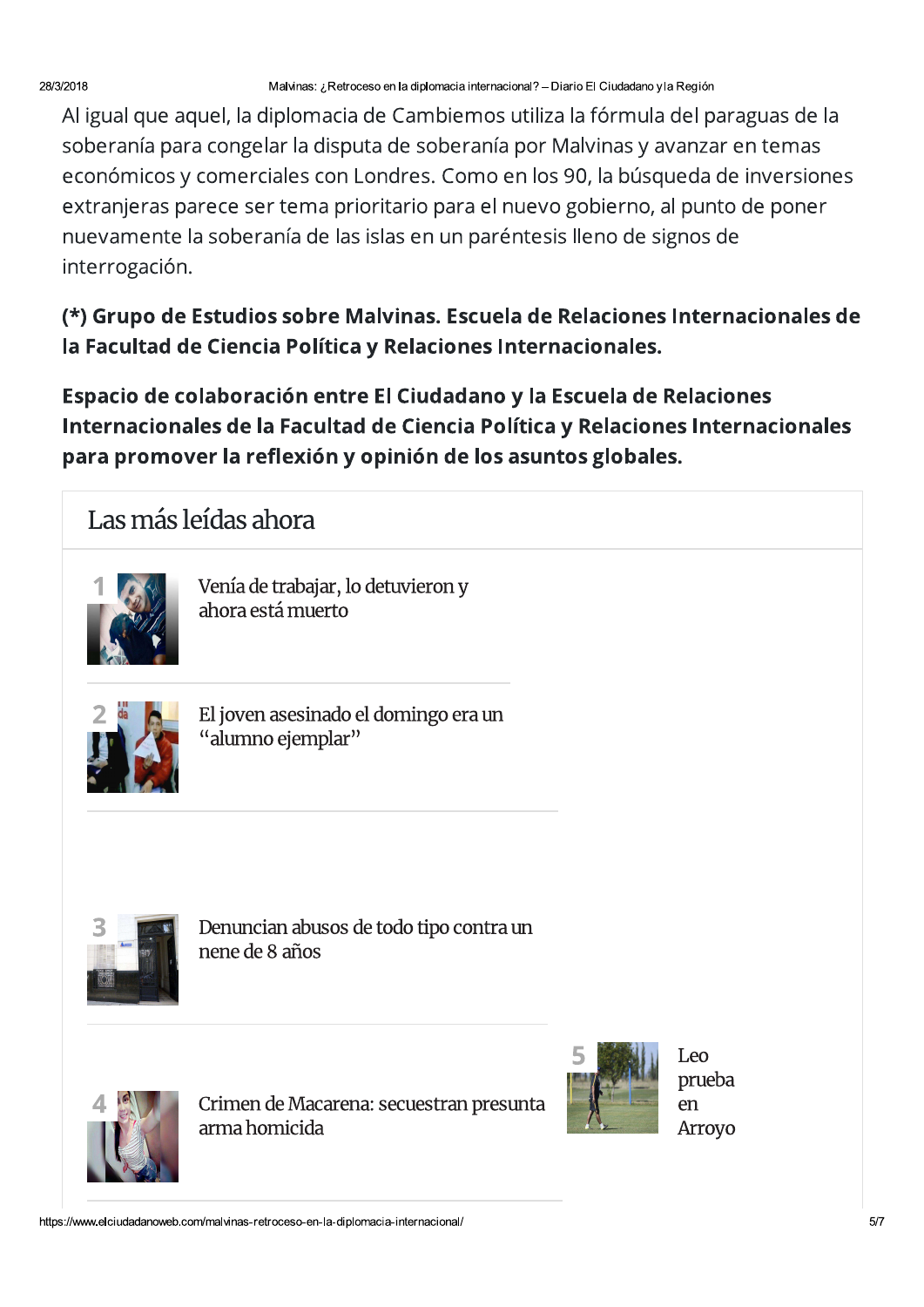Al igual que aquel, la diplomacia de Cambiemos utiliza la fórmula del paraguas de la soberanía para congelar la disputa de soberanía por Malvinas y avanzar en temas económicos y comerciales con Londres. Como en los 90, la búsqueda de inversiones extranjeras parece ser tema prioritario para el nuevo gobierno, al punto de poner nuevamente la soberanía de las islas en un paréntesis lleno de signos de interrogación.

(\*) Grupo de Estudios sobre Malvinas. Escuela de Relaciones Internacionales de la Facultad de Ciencia Política y Relaciones Internacionales.

Espacio de colaboración entre El Ciudadano y la Escuela de Relaciones Internacionales de la Facultad de Ciencia Política y Relaciones Internacionales para promover la reflexión y opinión de los asuntos globales.

Las más leídas ahora



Venía de trabajar, lo detuvieron y ahora está muerto



El joven asesinado el domingo era un "alumno ejemplar"



Denuncian abusos de todo tipo contra un nene de 8 años



## Crimen de Macarena: secuestran presunta arma homicida



Leo prueba en Arroyo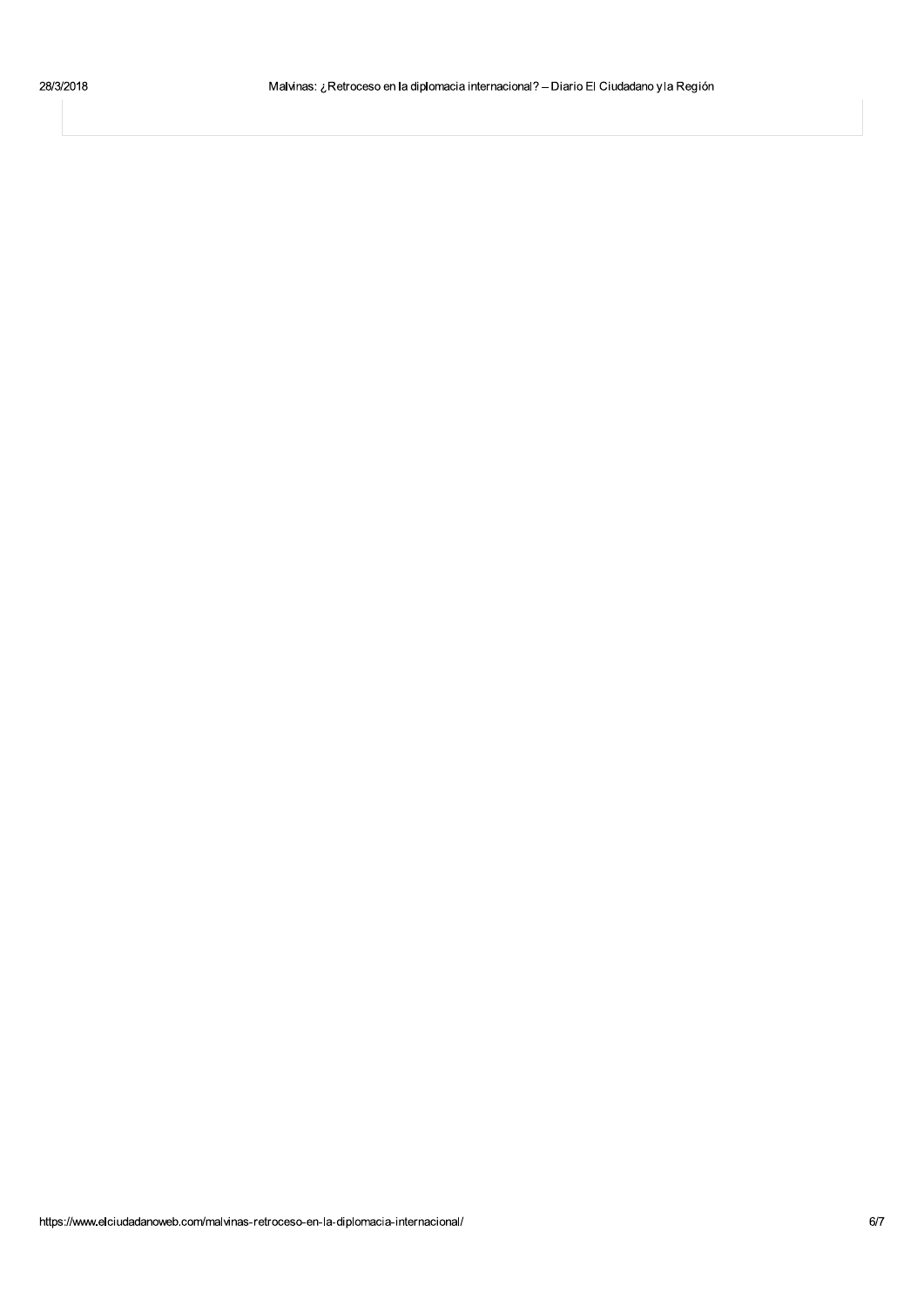28/3/2018

Malvinas: ¿Retroceso en la diplomacia internacional? – Diario El Ciudadano y la Región